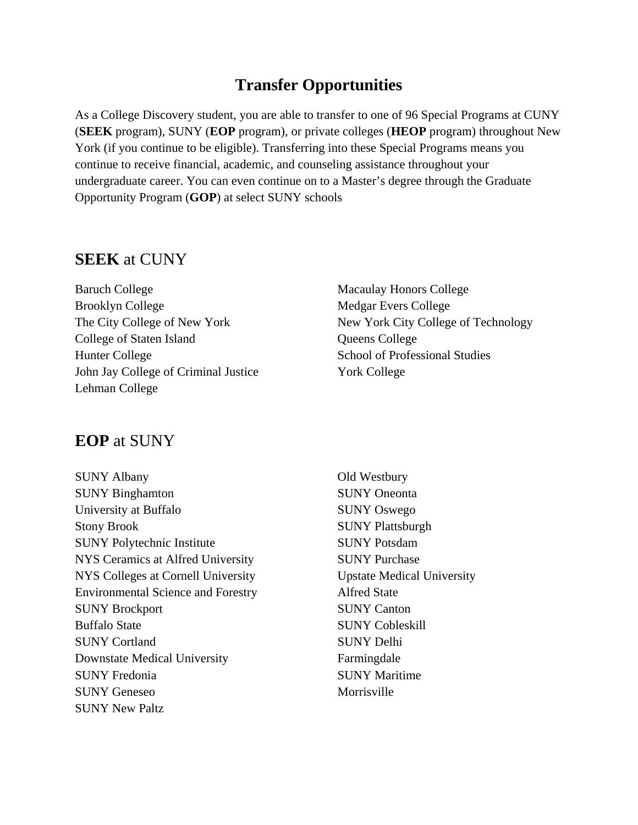## **Transfer Opportunities**

As a College Discovery student, you are able to transfer to one of 96 Special Programs at CUNY (**SEEK** program), SUNY (**EOP** program), or private colleges (**HEOP** program) throughout New York (if you continue to be eligible). Transferring into these Special Programs means you continue to receive financial, academic, and counseling assistance throughout your undergraduate career. You can even continue on to a Master's degree through the Graduate Opportunity Program (**GOP**) at select SUNY schools

#### **SEEK** at CUNY

Baruch College Brooklyn College The City College of New York College of Staten Island Hunter College John Jay College of Criminal Justice Lehman College

Macaulay Honors College Medgar Evers College New York City College of Technology Queens College School of Professional Studies York College

### **EOP** at SUNY

SUNY Albany SUNY Binghamton University at Buffalo Stony Brook SUNY Polytechnic Institute NYS Ceramics at Alfred University NYS Colleges at Cornell University Environmental Science and Forestry SUNY Brockport Buffalo State SUNY Cortland Downstate Medical University SUNY Fredonia SUNY Geneseo SUNY New Paltz

Old Westbury SUNY Oneonta SUNY Oswego SUNY Plattsburgh SUNY Potsdam SUNY Purchase Upstate Medical University Alfred State SUNY Canton SUNY Cobleskill SUNY Delhi Farmingdale SUNY Maritime Morrisville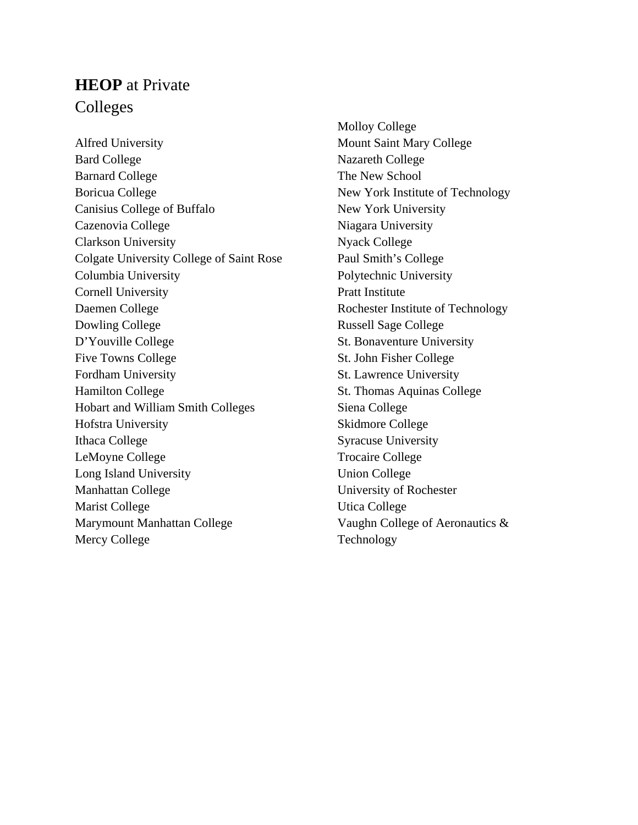# **HEOP** at Private Colleges

Alfred University Bard College Barnard College Boricua College Canisius College of Buffalo Cazenovia College Clarkson University Colgate University College of Saint Rose Columbia University Cornell University Daemen College Dowling College D'Youville College Five Towns College Fordham University Hamilton College Hobart and William Smith Colleges Hofstra University Ithaca College LeMoyne College Long Island University Manhattan College Marist College Marymount Manhattan College Mercy College

Molloy College Mount Saint Mary College Nazareth College The New School New York Institute of Technology New York University Niagara University Nyack College Paul Smith's College Polytechnic University Pratt Institute Rochester Institute of Technology Russell Sage College St. Bonaventure University St. John Fisher College St. Lawrence University St. Thomas Aquinas College Siena College Skidmore College Syracuse University Trocaire College Union College University of Rochester Utica College Vaughn College of Aeronautics & Technology